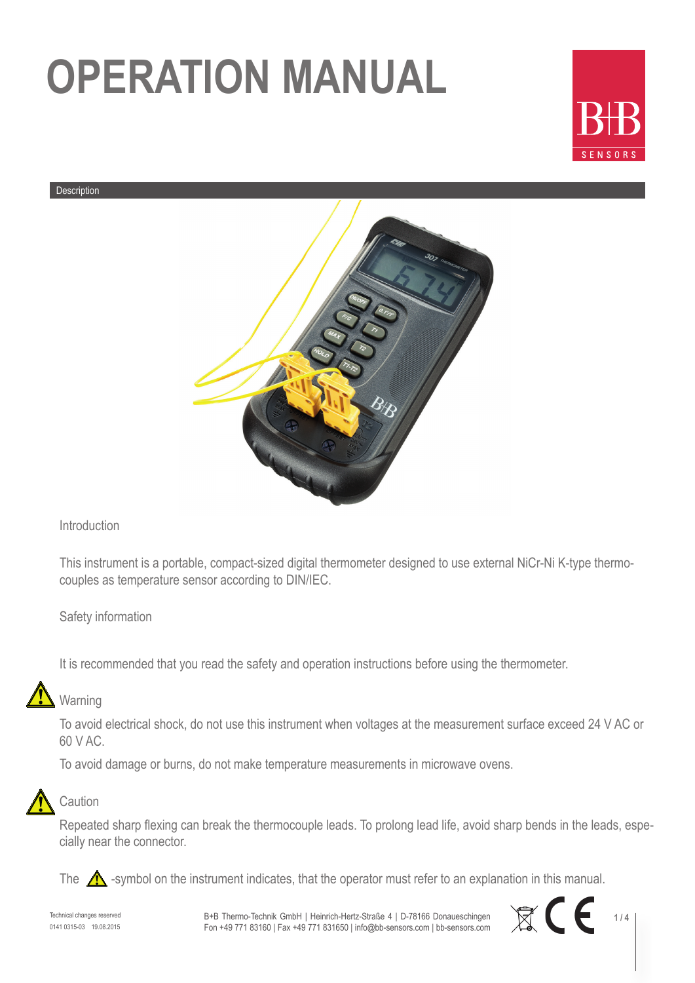

#### Description



#### Introduction

This instrument is a portable, compact-sized digital thermometer designed to use external NiCr-Ni K-type thermocouples as temperature sensor according to DIN/IEC.

#### Safety information

It is recommended that you read the safety and operation instructions before using the thermometer.

### Warning

To avoid electrical shock, do not use this instrument when voltages at the measurement surface exceed 24 V AC or 60 V AC.

To avoid damage or burns, do not make temperature measurements in microwave ovens.



#### **Caution**

Repeated sharp flexing can break the thermocouple leads. To prolong lead life, avoid sharp bends in the leads, especially near the connector.

The  $\bigwedge$  -symbol on the instrument indicates, that the operator must refer to an explanation in this manual.

Technical changes reserved 0141 0315-03 19.08.2015 B+B Thermo-Technik GmbH | Heinrich-Hertz-Straße 4 | D-78166 Donaueschingen Fon +49 771 83160 | Fax +49 771 831650 | info@bb-sensors.com | bb-sensors.com

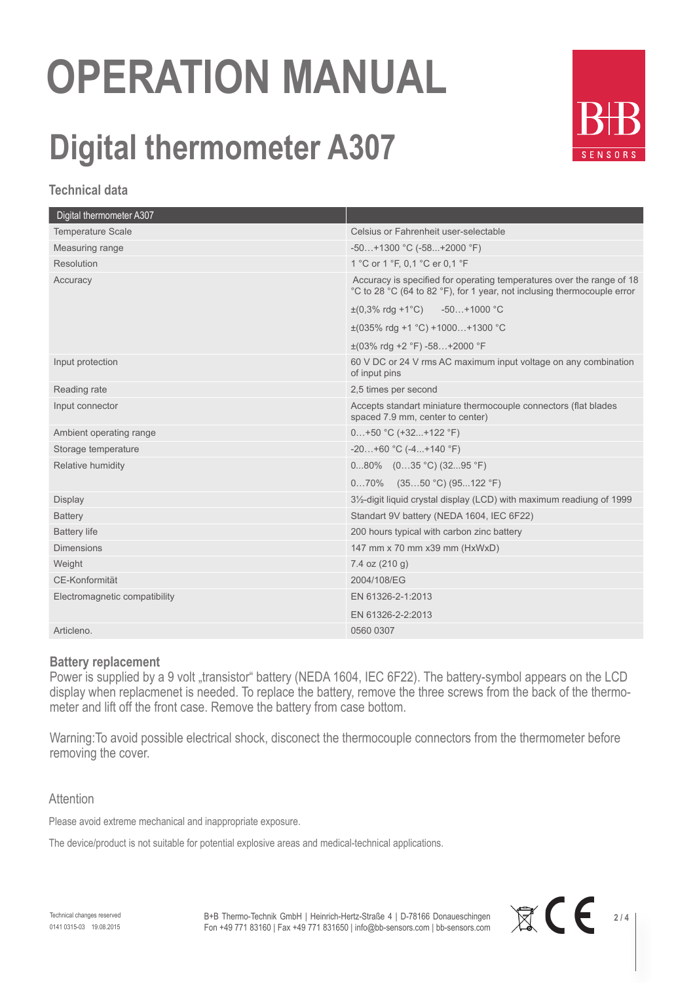### **Digital thermometer A307**



#### **Technical data**

| Celsius or Fahrenheit user-selectable                                                                                                            |
|--------------------------------------------------------------------------------------------------------------------------------------------------|
| $-50+1300$ °C ( $-58+2000$ °F)                                                                                                                   |
| 1 °C or 1 °F, 0,1 °C er 0,1 °F                                                                                                                   |
| Accuracy is specified for operating temperatures over the range of 18<br>°C to 28 °C (64 to 82 °F), for 1 year, not inclusing thermocouple error |
| $\pm (0.3\% \text{ rdq} + 1\degree \text{C})$ -50+1000 °C                                                                                        |
| $\pm$ (035% rdg +1 °C) +1000+1300 °C                                                                                                             |
| $\pm$ (03% rdg +2 °F) -58+2000 °F                                                                                                                |
| 60 V DC or 24 V rms AC maximum input voltage on any combination<br>of input pins                                                                 |
| 2,5 times per second                                                                                                                             |
| Accepts standart miniature thermocouple connectors (flat blades<br>spaced 7.9 mm, center to center)                                              |
| $0+50$ °C (+32+122 °F)                                                                                                                           |
| $-20+60$ °C $(-4+140$ °F)                                                                                                                        |
| $080\%$ $(035 °C)(3295 °F)$                                                                                                                      |
| $070\%$ (3550 °C) (95122 °F)                                                                                                                     |
| 3½-digit liquid crystal display (LCD) with maximum readiung of 1999                                                                              |
| Standart 9V battery (NEDA 1604, IEC 6F22)                                                                                                        |
| 200 hours typical with carbon zinc battery                                                                                                       |
| 147 mm x 70 mm x39 mm (HxWxD)                                                                                                                    |
| 7.4 oz $(210 g)$                                                                                                                                 |
| 2004/108/EG                                                                                                                                      |
| EN 61326-2-1:2013                                                                                                                                |
| EN 61326-2-2:2013                                                                                                                                |
| 0560 0307                                                                                                                                        |
|                                                                                                                                                  |

#### **Battery replacement**

Power is supplied by a 9 volt "transistor" battery (NEDA 1604, IEC 6F22). The battery-symbol appears on the LCD display when replacmenet is needed. To replace the battery, remove the three screws from the back of the thermometer and lift off the front case. Remove the battery from case bottom.

Warning:To avoid possible electrical shock, disconect the thermocouple connectors from the thermometer before removing the cover.

#### **Attention**

Please avoid extreme mechanical and inappropriate exposure.

The device/product is not suitable for potential explosive areas and medical-technical applications.

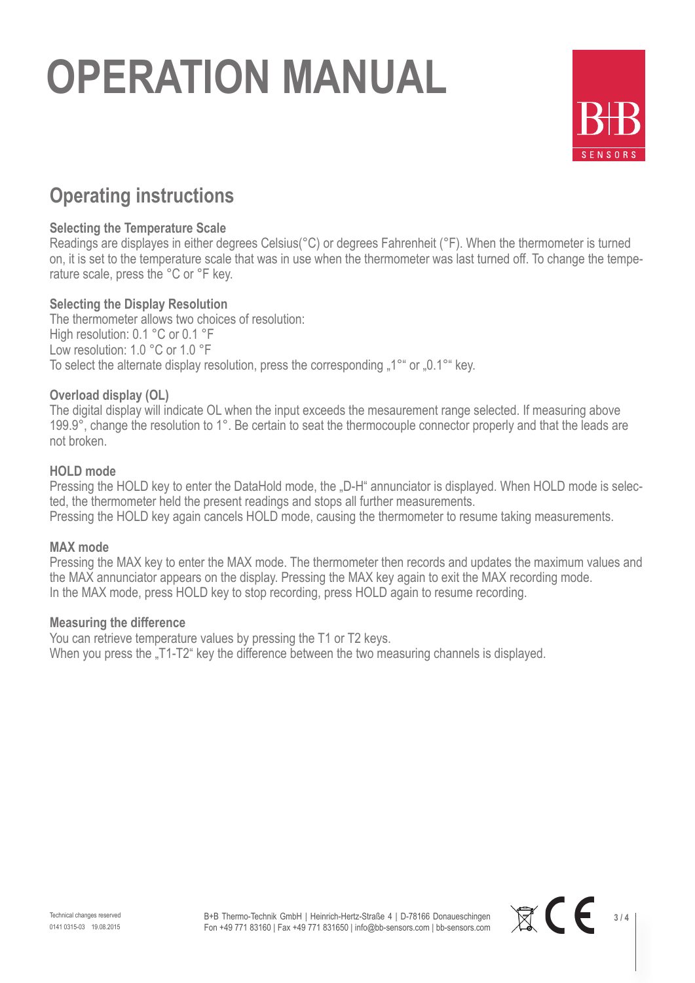

### **Operating instructions**

#### **Selecting the Temperature Scale**

Readings are displayes in either degrees Celsius(°C) or degrees Fahrenheit (°F). When the thermometer is turned on, it is set to the temperature scale that was in use when the thermometer was last turned off. To change the temperature scale, press the °C or °F key.

#### **Selecting the Display Resolution**

The thermometer allows two choices of resolution: High resolution: 0.1 °C or 0.1 °F Low resolution: 1.0 °C or 1.0 °F To select the alternate display resolution, press the corresponding "1°" or "0.1°" key.

#### **Overload display (OL)**

The digital display will indicate OL when the input exceeds the mesaurement range selected. If measuring above 199.9°, change the resolution to 1°. Be certain to seat the thermocouple connector properly and that the leads are not broken.

#### **HOLD mode**

Pressing the HOLD key to enter the DataHold mode, the "D-H" annunciator is displayed. When HOLD mode is selected, the thermometer held the present readings and stops all further measurements. Pressing the HOLD key again cancels HOLD mode, causing the thermometer to resume taking measurements.

#### **MAX mode**

Pressing the MAX key to enter the MAX mode. The thermometer then records and updates the maximum values and the MAX annunciator appears on the display. Pressing the MAX key again to exit the MAX recording mode. In the MAX mode, press HOLD key to stop recording, press HOLD again to resume recording.

#### **Measuring the difference**

You can retrieve temperature values by pressing the T1 or T2 keys. When you press the "T1-T2" key the difference between the two measuring channels is displayed.